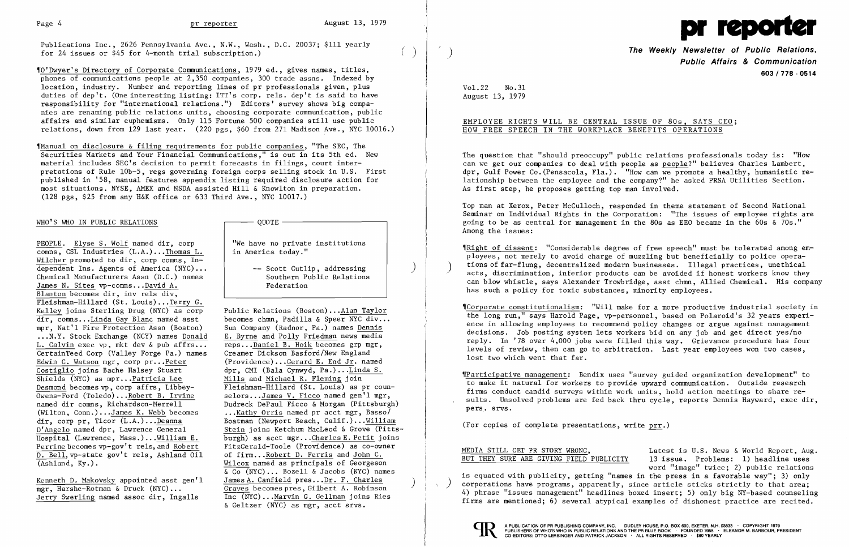Publications Inc., 2626 Pennsylvania Ave., N.W., Wash., D.C. 20037; \$111 yearly for 24 issues or  $$45$  for 4-month trial subscription.)

,[0' Dwyer's Directory of Corporate Communications, 1979 e d , , gives names, titles, phones of communications people at 2,350 companies, 300 trade assns. Indexed by location, industry. Number and reporting lines of pr professionals given, plus duties of dep't. (One interesting listing: ITT's corp. rels. dep't is said to have responsibility for "international relations. ") Editors' survey shows big companies are renaming public relations units, choosing corporate communication, public affairs and similar euphemisms. Only 115 Fortune 500 companies still use public relations, down from 129 last year. (220 pgs, \$60 from 271 Madison Ave., NYC 10016.)

'[Manual on disclosure & filing requirements for public companies, "The SEC, The Securities Markets and Your Financial Communications," is out in its 5th ed. New material includes SEC's decision to permit forecasts in filings, court interpretations of Rule 10b-5, regs governing foreign corps selling stock in U.S. First<br>published in '58, manual features appendix listing required disclosure action for most situations. NYSE, AMEX and NSDA assisted Hill & Knowlton in preparation. (128 pgs, \$25 from any H&K office or 633 Third Ave., NYC 10017.)

## WHO'S WHO IN PUBLIC RELATIONS  $\qquad \qquad \qquad \qquad \qquad \qquad \qquad \qquad \qquad \qquad \qquad \qquad$

<u>PEOPLE</u>. <u>Elyse S. Wolf</u> named dir, corp  $\begin{array}{c|c} \n\text{Weyl} & \text{if } \n\end{array}$  We have no private institutions comms, CSL Industries (L.A.)... Thomas L. in America today."  $\overline{\text{comns.}}$  CSL Industries  $(L.A.)$ ...Thomas L. Wilcher promoted to dir, corp comns, Independent Ins. Agents of America (NYC)... -- Scott Cutlip, addressing<br>Chemical Manufacturers Assn (D.C.) names Southern Public Relations Chemical Manufacturers Assn (D.C.) names Southern Public Relations of the Southern Public Relations of the Southern Pu James N. Sites vp-comns...David A. Blanton becomes dir, inv rels div, Fleishman-Hillard (St. Louis) ...Terry G. Kelley joins Sterling Drug (NYC) as corp Public Relations (Boston)... Alan Taylor<br>dir, comns...Linda Gay Blanc named asst becomes chmn, Padilla & Speer NYC div.. mpr, Nat'l Fire Protection Assn (Boston) ...N.Y. Stock Exchange (NCY) names <u>Donald</u> E. Byrne and Polly Friedman news media<br>L. Calvin exec vp, mkt dev & pub affrs... reps...Daniel B. Hoik becomes grp mgr, L. Calvin exec vp, mkt dev & pub affrs... reps... Daniel B. Hoik becomes grp mg<br>CertainTeed Corp (Valley Forge Pa.) names Creamer Dickson Basford/New England CertainTeed Corp (Valley Forge Pa.) names Edwin C. Watson mgr, corp pr... Peter (Providence)... Gerard E. End Jr. named<br>Costiglio joins Bache Halsey Stuart dpr. CMI (Bala Cynwyd, Pa.)... Linda S. Shields (NYC) as mpr... Patricia Lee<br>Desmond becomes  $vp$ , corp affrs, Libbey-Desmond becomes vp, corp affrs, Libbey-<br>
Owens-Ford (Toledo)...Robert B. Irvine selors...James V. Ficco named gen'l mgr, Owens-Ford (Toledo)...Robert B. Irvine<br>
named dir comns, Richardson-Merrell<br>
Dudreck DePaul Ficco & Morgan (Pittsburg) (Wilton, Conn.)... $James K. Webb becomes$  ... $Kathy$  Orris named pr acct mgr, Basso/<br>dir, corp pr, Ticor (L.A.)...Deanna Boatman (Newport Beach, Calif.)...Willian dir, corp pr, Ticor (L.A.)... Deanna Boatman (Newport Beach, Calif.)... William<br>D'Angelo named dpr, Lawrence General Stein joins Ketchum MacLeod & Grove (Pitts  $\overline{D.$  Bell, vp-state gov't rels, Ashland Oil (Ashland, Ky.).

Kenneth D. Makovsky appointed asst gen'l mgr, Harshe-Rotman & Druck (NYC)...<br>Jerry Swerling named assoc dir, Ingalls Inc (NYC)...Marvin G. Gellman joins Ries

becomes chmn, Padilla & Speer NYC div...<br>Sun Company (Radnor, Pa.) names Dennis dpr, CMI (Bala Cynwyd, Pa.)...Linda S.<br>Mills and Michael R. Fleming join named dir comns, Richardson-Merrell Dudreck DePaul Ficco & Morgan (Pittsburgh)<br>(Wilton, Conn.)...James K. Webb becomes ...Kathy Orris named pr acct mgr, Basso/ Stein joins Ketchum MacLeod & Grove (Pitts-Hospital (Lawrence, Mass.)... William E. burgh) as acct mgr... Charles E. Petit joins<br>Perrine becomes vp-gov't rels, and Robert FitzGerald-Toole (Providence) as co-owner FitzGerald-Toole (Providence) as co-owner<br>of firm...Robert D. Ferris and John C. Wilcox named as principals of Georgeson & Co (NYC) ... Bozell & Jacobs (NYC) names  $\overline{\text{Inc (NYC)}}$ ...Marvin G. Gellman joins Ries & Geltzer (NYC) as mgr, acct srvs.

## EMPLOYEE RIGHTS WILL BE CENTRAL ISSUE OF 80s, SAYS CEO; HOW FREE SPEECH IN THE WORKPLACE BENEFITS OPERATIONS

\Corporate constitutionalism: "Will make for a more productive industrial society in the long run," says Harold Page, vp-personnel, based on Polaroid's 32 years experience in allowing employees to recommend policy changes or argue against management decisions. Job posting system lets workers bid on any job and get direct yes/no reply. In '78 over 4,000 jobs were filled this way. Grievance procedure has four levels of review, then can go to arbitration. Last year employees won two cases, lost two which went that far.



Vol. 22 No. 31 August 13, 1979

 $\big)$ 

**The Weekly Newsletter of Public Relations, Public Affairs & Communication 603/778 - 0514** 

The question that "should preoccupy" public relations professionals today is: "How can we get our companies to deal with people as people?" believes Charles Lambert, dpr, Gulf Power Co. (Pensacola, Fla.). "How can we promote a healthy, humanistic relationship between the employee and the company?" he asked PRSA Utilities Section. As first step, he proposes getting top man involved.

Top man at Xerox, Peter McCulloch, responded in theme statement of Second National Seminar on Individual Rights in the Corporation: "The issues of employee rights are going to be as central for management in the 80s as EEO became in the 60s & 70s." Among the issues:

'[Right of dissent: "Considerable degree of free speech" must be tolerated among employees, not merely to avoid charge of muzzling but beneficially to police operations of far-flung, decentralized modern businesses. Illegal practices, unethical acts, discrimination, inferior products can be avoided if honest workers know they can blow whistle, says Alexander Trowbridge, asst chmn, Allied Chemical. His company has such a policy for toxic substances, minority employees.

,rParticipative management: Bendix uses "survey guided organization development" to to make it natural for workers to provide upward communication. Outside research firms conduct candid surveys within work units, hold action meetings to share results. Unsolved problems are fed back thru cycle, reports Dennis Hayward, exec dir, pers. srvs .

(For copies of complete presentations, write prr.)

)

# MEDIA STILL GET PR STORY WRONG,

BUT THEY SURE ARE GIVING FIELD PUBLICITY Latest is U.S. News & World Report, Aug. 13 issue. Problems: 1) headline uses word "image" twice; 2) public relations is equated with publicity, getting "names in the press in a favorable way"; 3) only corporations have programs, apparently, since article sticks strictly to that area; 4) phrase "issues management" headlines boxed insert; 5) only big NY-based counseling firms are mentioned; 6) several atypical examples of dishonest practice are recited.